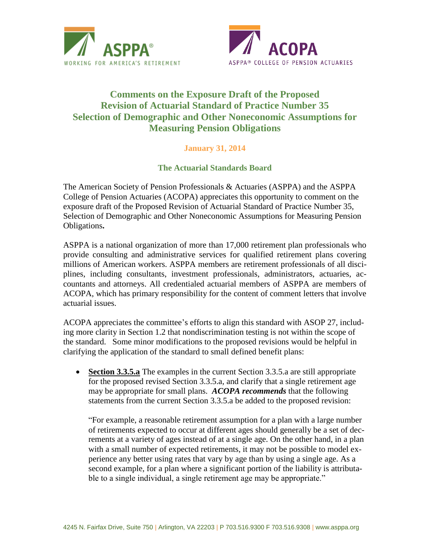



## **Comments on the Exposure Draft of the Proposed Revision of Actuarial Standard of Practice Number 35 Selection of Demographic and Other Noneconomic Assumptions for Measuring Pension Obligations**

## **January 31, 2014**

## **The Actuarial Standards Board**

The American Society of Pension Professionals & Actuaries (ASPPA) and the ASPPA College of Pension Actuaries (ACOPA) appreciates this opportunity to comment on the exposure draft of the Proposed Revision of Actuarial Standard of Practice Number 35, Selection of Demographic and Other Noneconomic Assumptions for Measuring Pension Obligations**.**

ASPPA is a national organization of more than 17,000 retirement plan professionals who provide consulting and administrative services for qualified retirement plans covering millions of American workers. ASPPA members are retirement professionals of all disciplines, including consultants, investment professionals, administrators, actuaries, accountants and attorneys. All credentialed actuarial members of ASPPA are members of ACOPA, which has primary responsibility for the content of comment letters that involve actuarial issues.

ACOPA appreciates the committee's efforts to align this standard with ASOP 27, including more clarity in Section 1.2 that nondiscrimination testing is not within the scope of the standard. Some minor modifications to the proposed revisions would be helpful in clarifying the application of the standard to small defined benefit plans:

 **Section 3.3.5.a** The examples in the current Section 3.3.5.a are still appropriate for the proposed revised Section 3.3.5.a, and clarify that a single retirement age may be appropriate for small plans. *ACOPA recommends* that the following statements from the current Section 3.3.5.a be added to the proposed revision:

"For example, a reasonable retirement assumption for a plan with a large number of retirements expected to occur at different ages should generally be a set of decrements at a variety of ages instead of at a single age. On the other hand, in a plan with a small number of expected retirements, it may not be possible to model experience any better using rates that vary by age than by using a single age. As a second example, for a plan where a significant portion of the liability is attributable to a single individual, a single retirement age may be appropriate."